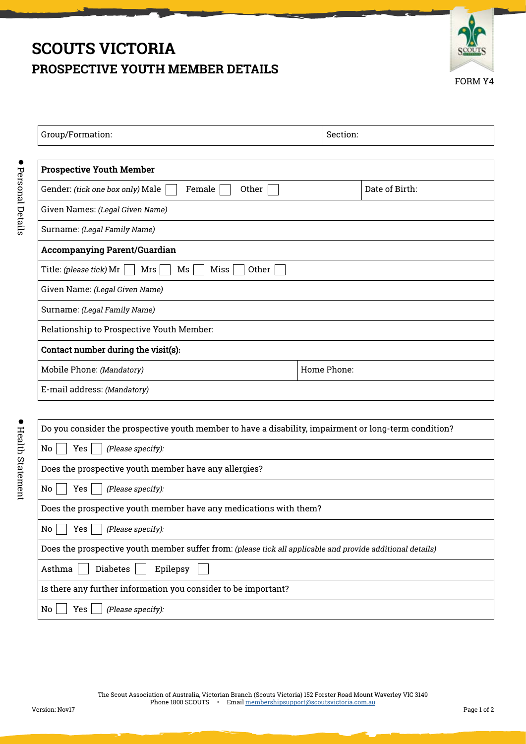# **SCOUTS VICTORIA PROSPECTIVE YOUTH MEMBER DETAILS**



| Group/Formation:                                      | Section:    |                |  |
|-------------------------------------------------------|-------------|----------------|--|
|                                                       |             |                |  |
| <b>Prospective Youth Member</b>                       |             |                |  |
| Female<br>Other<br>Gender: (tick one box only) Male   |             | Date of Birth: |  |
| Given Names: (Legal Given Name)                       |             |                |  |
| Surname: (Legal Family Name)                          |             |                |  |
| <b>Accompanying Parent/Guardian</b>                   |             |                |  |
| Other<br>Title: (please tick) Mr<br>Ms<br>Miss<br>Mrs |             |                |  |
| Given Name: (Legal Given Name)                        |             |                |  |
| Surname: (Legal Family Name)                          |             |                |  |
| Relationship to Prospective Youth Member:             |             |                |  |
| Contact number during the visit(s):                   |             |                |  |
| Mobile Phone: (Mandatory)                             | Home Phone: |                |  |
| E-mail address: (Mandatory)                           |             |                |  |

| D<br>١<br>۰      |
|------------------|
| ١                |
| í<br>ı<br>ı<br>h |
| í                |
|                  |
| ı<br>1           |

| Do you consider the prospective youth member to have a disability, impairment or long-term condition?      |  |  |
|------------------------------------------------------------------------------------------------------------|--|--|
| No<br>Yes<br>(Please specify):                                                                             |  |  |
| Does the prospective youth member have any allergies?                                                      |  |  |
| No<br>Yes<br>(Please specify):                                                                             |  |  |
| Does the prospective youth member have any medications with them?                                          |  |  |
| No<br>Yes<br>(Please specify):                                                                             |  |  |
| Does the prospective youth member suffer from: (please tick all applicable and provide additional details) |  |  |
| <b>Diabetes</b><br>Asthma<br>Epilepsy                                                                      |  |  |
| Is there any further information you consider to be important?                                             |  |  |
| No<br>Yes<br>(Please specify):                                                                             |  |  |
|                                                                                                            |  |  |

The Scout Association of Australia, Victorian Branch (Scouts Victoria) 152 Forster Road Mount Waverley VIC 3149 Phone 1800 SCOUTS • Email membershipsupport@scoutsvictoria.com.au